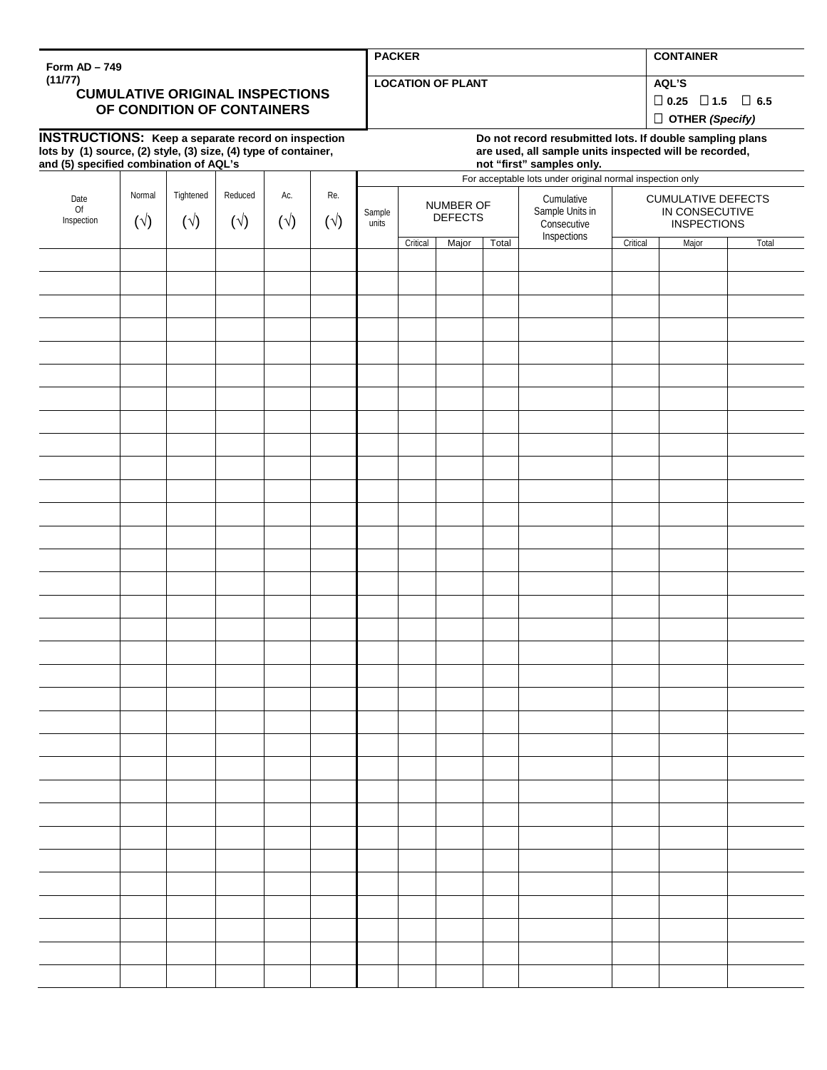| Form AD - 749                                                                                                                                                          |                        |                           |                         |                     |                     | <b>PACKER</b>                                                                                                                                   |                                                           |       |       |                                                             |                                                                   | <b>CONTAINER</b> |                                                                      |  |  |
|------------------------------------------------------------------------------------------------------------------------------------------------------------------------|------------------------|---------------------------|-------------------------|---------------------|---------------------|-------------------------------------------------------------------------------------------------------------------------------------------------|-----------------------------------------------------------|-------|-------|-------------------------------------------------------------|-------------------------------------------------------------------|------------------|----------------------------------------------------------------------|--|--|
| (11/77)<br><b>CUMULATIVE ORIGINAL INSPECTIONS</b><br>OF CONDITION OF CONTAINERS                                                                                        |                        |                           |                         |                     |                     |                                                                                                                                                 | <b>LOCATION OF PLANT</b>                                  |       |       |                                                             |                                                                   |                  | AQL'S<br>$\Box$ 0.25 $\Box$ 1.5 $\Box$ 6.5<br>$\Box$ OTHER (Specify) |  |  |
| <b>INSTRUCTIONS:</b> Keep a separate record on inspection<br>lots by (1) source, (2) style, (3) size, (4) type of container,<br>and (5) specified combination of AQL's |                        |                           |                         |                     |                     | Do not record resubmitted lots. If double sampling plans<br>are used, all sample units inspected will be recorded,<br>not "first" samples only. |                                                           |       |       |                                                             |                                                                   |                  |                                                                      |  |  |
|                                                                                                                                                                        |                        |                           |                         |                     |                     |                                                                                                                                                 | For acceptable lots under original normal inspection only |       |       |                                                             |                                                                   |                  |                                                                      |  |  |
| Date<br>Of<br>Inspection                                                                                                                                               | Normal<br>$(\sqrt{2})$ | Tightened<br>$(\sqrt{2})$ | Reduced<br>$(\sqrt{2})$ | Ac.<br>$(\sqrt{2})$ | Re.<br>$(\sqrt{2})$ | Sample<br>units                                                                                                                                 | NUMBER OF<br><b>DEFECTS</b>                               |       |       | Cumulative<br>Sample Units in<br>Consecutive<br>Inspections | <b>CUMULATIVE DEFECTS</b><br>IN CONSECUTIVE<br><b>INSPECTIONS</b> |                  |                                                                      |  |  |
|                                                                                                                                                                        |                        |                           |                         |                     |                     |                                                                                                                                                 | Critical                                                  | Major | Total |                                                             | Critical                                                          | Major            | Total                                                                |  |  |
|                                                                                                                                                                        |                        |                           |                         |                     |                     |                                                                                                                                                 |                                                           |       |       |                                                             |                                                                   |                  |                                                                      |  |  |
|                                                                                                                                                                        |                        |                           |                         |                     |                     |                                                                                                                                                 |                                                           |       |       |                                                             |                                                                   |                  |                                                                      |  |  |
|                                                                                                                                                                        |                        |                           |                         |                     |                     |                                                                                                                                                 |                                                           |       |       |                                                             |                                                                   |                  |                                                                      |  |  |
|                                                                                                                                                                        |                        |                           |                         |                     |                     |                                                                                                                                                 |                                                           |       |       |                                                             |                                                                   |                  |                                                                      |  |  |
|                                                                                                                                                                        |                        |                           |                         |                     |                     |                                                                                                                                                 |                                                           |       |       |                                                             |                                                                   |                  |                                                                      |  |  |
|                                                                                                                                                                        |                        |                           |                         |                     |                     |                                                                                                                                                 |                                                           |       |       |                                                             |                                                                   |                  |                                                                      |  |  |
|                                                                                                                                                                        |                        |                           |                         |                     |                     |                                                                                                                                                 |                                                           |       |       |                                                             |                                                                   |                  |                                                                      |  |  |
|                                                                                                                                                                        |                        |                           |                         |                     |                     |                                                                                                                                                 |                                                           |       |       |                                                             |                                                                   |                  |                                                                      |  |  |
|                                                                                                                                                                        |                        |                           |                         |                     |                     |                                                                                                                                                 |                                                           |       |       |                                                             |                                                                   |                  |                                                                      |  |  |
|                                                                                                                                                                        |                        |                           |                         |                     |                     |                                                                                                                                                 |                                                           |       |       |                                                             |                                                                   |                  |                                                                      |  |  |
|                                                                                                                                                                        |                        |                           |                         |                     |                     |                                                                                                                                                 |                                                           |       |       |                                                             |                                                                   |                  |                                                                      |  |  |
|                                                                                                                                                                        |                        |                           |                         |                     |                     |                                                                                                                                                 |                                                           |       |       |                                                             |                                                                   |                  |                                                                      |  |  |
|                                                                                                                                                                        |                        |                           |                         |                     |                     |                                                                                                                                                 |                                                           |       |       |                                                             |                                                                   |                  |                                                                      |  |  |
|                                                                                                                                                                        |                        |                           |                         |                     |                     |                                                                                                                                                 |                                                           |       |       |                                                             |                                                                   |                  |                                                                      |  |  |
|                                                                                                                                                                        |                        |                           |                         |                     |                     |                                                                                                                                                 |                                                           |       |       |                                                             |                                                                   |                  |                                                                      |  |  |
|                                                                                                                                                                        |                        |                           |                         |                     |                     |                                                                                                                                                 |                                                           |       |       |                                                             |                                                                   |                  |                                                                      |  |  |
|                                                                                                                                                                        |                        |                           |                         |                     |                     |                                                                                                                                                 |                                                           |       |       |                                                             |                                                                   |                  |                                                                      |  |  |
|                                                                                                                                                                        |                        |                           |                         |                     |                     |                                                                                                                                                 |                                                           |       |       |                                                             |                                                                   |                  |                                                                      |  |  |
|                                                                                                                                                                        |                        |                           |                         |                     |                     |                                                                                                                                                 |                                                           |       |       |                                                             |                                                                   |                  |                                                                      |  |  |
|                                                                                                                                                                        |                        |                           |                         |                     |                     |                                                                                                                                                 |                                                           |       |       |                                                             |                                                                   |                  |                                                                      |  |  |
|                                                                                                                                                                        |                        |                           |                         |                     |                     |                                                                                                                                                 |                                                           |       |       |                                                             |                                                                   |                  |                                                                      |  |  |
|                                                                                                                                                                        |                        |                           |                         |                     |                     |                                                                                                                                                 |                                                           |       |       |                                                             |                                                                   |                  |                                                                      |  |  |
|                                                                                                                                                                        |                        |                           |                         |                     |                     |                                                                                                                                                 |                                                           |       |       |                                                             |                                                                   |                  |                                                                      |  |  |
|                                                                                                                                                                        |                        |                           |                         |                     |                     |                                                                                                                                                 |                                                           |       |       |                                                             |                                                                   |                  |                                                                      |  |  |
|                                                                                                                                                                        |                        |                           |                         |                     |                     |                                                                                                                                                 |                                                           |       |       |                                                             |                                                                   |                  |                                                                      |  |  |
|                                                                                                                                                                        |                        |                           |                         |                     |                     |                                                                                                                                                 |                                                           |       |       |                                                             |                                                                   |                  |                                                                      |  |  |
|                                                                                                                                                                        |                        |                           |                         |                     |                     |                                                                                                                                                 |                                                           |       |       |                                                             |                                                                   |                  |                                                                      |  |  |
|                                                                                                                                                                        |                        |                           |                         |                     |                     |                                                                                                                                                 |                                                           |       |       |                                                             |                                                                   |                  |                                                                      |  |  |
|                                                                                                                                                                        |                        |                           |                         |                     |                     |                                                                                                                                                 |                                                           |       |       |                                                             |                                                                   |                  |                                                                      |  |  |
|                                                                                                                                                                        |                        |                           |                         |                     |                     |                                                                                                                                                 |                                                           |       |       |                                                             |                                                                   |                  |                                                                      |  |  |
|                                                                                                                                                                        |                        |                           |                         |                     |                     |                                                                                                                                                 |                                                           |       |       |                                                             |                                                                   |                  |                                                                      |  |  |
|                                                                                                                                                                        |                        |                           |                         |                     |                     |                                                                                                                                                 |                                                           |       |       |                                                             |                                                                   |                  |                                                                      |  |  |
|                                                                                                                                                                        |                        |                           |                         |                     |                     |                                                                                                                                                 |                                                           |       |       |                                                             |                                                                   |                  |                                                                      |  |  |
|                                                                                                                                                                        |                        |                           |                         |                     |                     |                                                                                                                                                 |                                                           |       |       |                                                             |                                                                   |                  |                                                                      |  |  |
|                                                                                                                                                                        |                        |                           |                         |                     |                     |                                                                                                                                                 |                                                           |       |       |                                                             |                                                                   |                  |                                                                      |  |  |
|                                                                                                                                                                        |                        |                           |                         |                     |                     |                                                                                                                                                 |                                                           |       |       |                                                             |                                                                   |                  |                                                                      |  |  |
|                                                                                                                                                                        |                        |                           |                         |                     |                     |                                                                                                                                                 |                                                           |       |       |                                                             |                                                                   |                  |                                                                      |  |  |

Print Save Reset